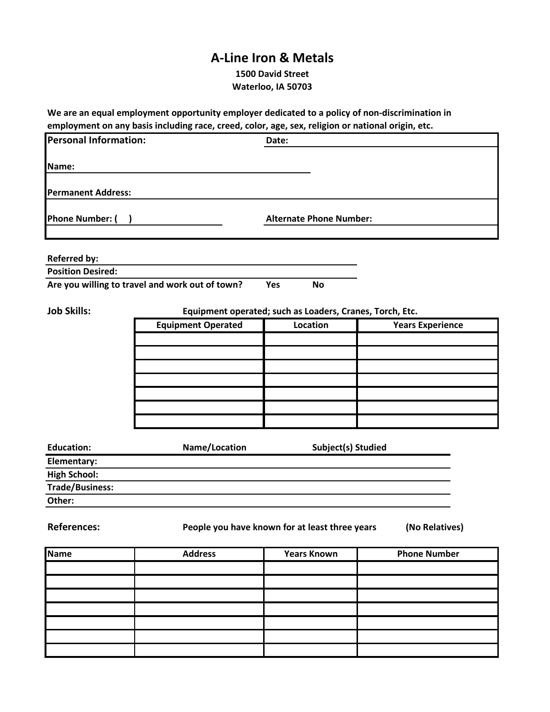## **A-Line Iron & Metals**

**1500 David Street Waterloo, IA 50703**

**We are an equal employment opportunity employer dedicated to a policy of non-discrimination in employment on any basis including race, creed, color, age, sex, religion or national origin, etc.**

| <b>Personal Information:</b> |                                                 | Date:                                                    |                         |
|------------------------------|-------------------------------------------------|----------------------------------------------------------|-------------------------|
| Name:                        |                                                 |                                                          |                         |
| <b>Permanent Address:</b>    |                                                 |                                                          |                         |
| <b>Phone Number: (</b>       |                                                 | <b>Alternate Phone Number:</b>                           |                         |
| <b>Referred by:</b>          |                                                 |                                                          |                         |
| <b>Position Desired:</b>     |                                                 |                                                          |                         |
|                              | Are you willing to travel and work out of town? | Yes<br><b>No</b>                                         |                         |
| <b>Job Skills:</b>           |                                                 | Equipment operated; such as Loaders, Cranes, Torch, Etc. |                         |
|                              | <b>Equipment Operated</b>                       | Location                                                 | <b>Years Experience</b> |
|                              |                                                 |                                                          |                         |
|                              |                                                 |                                                          |                         |
|                              |                                                 |                                                          |                         |
|                              |                                                 |                                                          |                         |
|                              |                                                 |                                                          |                         |
|                              |                                                 |                                                          |                         |
|                              |                                                 |                                                          |                         |
|                              |                                                 |                                                          |                         |
| <b>Education:</b>            | Name/Location                                   | Subject(s) Studied                                       |                         |
| Elementary:                  |                                                 |                                                          |                         |
| <b>High School:</b>          |                                                 |                                                          |                         |
| <b>Trade/Business:</b>       |                                                 |                                                          |                         |
| Other:                       |                                                 |                                                          |                         |
| <b>References:</b>           |                                                 | People you have known for at least three years           | (No Relatives)          |
| <b>Name</b>                  | <b>Address</b>                                  | <b>Years Known</b>                                       | <b>Phone Number</b>     |
|                              |                                                 |                                                          |                         |
|                              |                                                 |                                                          |                         |
|                              |                                                 |                                                          |                         |
|                              |                                                 |                                                          |                         |
|                              |                                                 |                                                          |                         |
|                              |                                                 |                                                          |                         |
|                              |                                                 |                                                          |                         |
|                              |                                                 |                                                          |                         |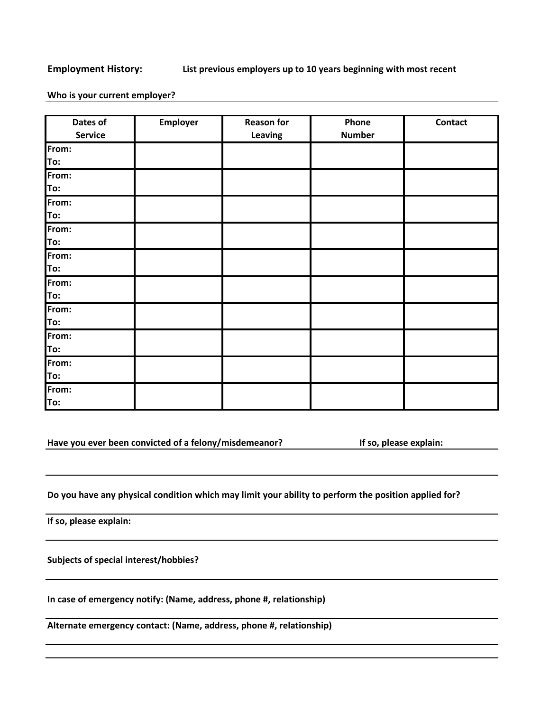## **Employment History: List previous employers up to 10 years beginning with most recent**

## **Who is your current employer?**

| Dates of<br><b>Service</b> | <b>Employer</b> | <b>Reason for</b><br>Leaving | Phone<br><b>Number</b> | Contact |
|----------------------------|-----------------|------------------------------|------------------------|---------|
| From:                      |                 |                              |                        |         |
| To:                        |                 |                              |                        |         |
| From:                      |                 |                              |                        |         |
| To:                        |                 |                              |                        |         |
| From:                      |                 |                              |                        |         |
| To:                        |                 |                              |                        |         |
| From:                      |                 |                              |                        |         |
| To:                        |                 |                              |                        |         |
| From:                      |                 |                              |                        |         |
| To:                        |                 |                              |                        |         |
| From:                      |                 |                              |                        |         |
| To:                        |                 |                              |                        |         |
| From:                      |                 |                              |                        |         |
| To:                        |                 |                              |                        |         |
| From:                      |                 |                              |                        |         |
| To:                        |                 |                              |                        |         |
| From:                      |                 |                              |                        |         |
| To:                        |                 |                              |                        |         |
| From:                      |                 |                              |                        |         |
| To:                        |                 |                              |                        |         |

**Have you ever been convicted of a felony/misdemeanor? If so, please explain:**

**Do you have any physical condition which may limit your ability to perform the position applied for?**

**If so, please explain:**

**Subjects of special interest/hobbies?**

**In case of emergency notify: (Name, address, phone #, relationship)**

**Alternate emergency contact: (Name, address, phone #, relationship)**